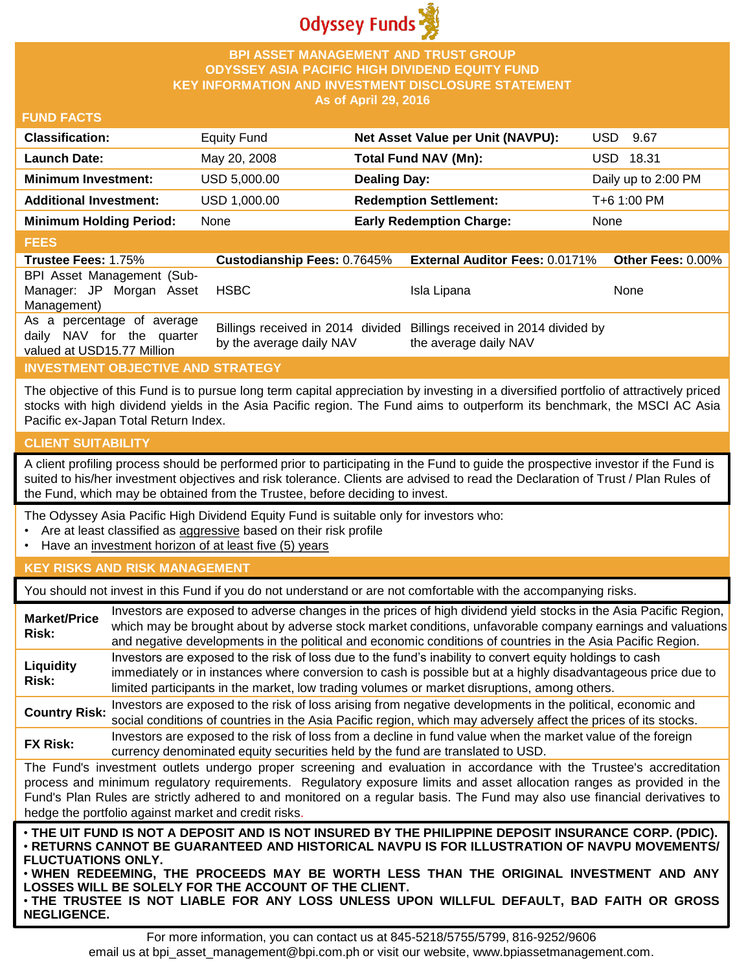

# **BPI ASSET MANAGEMENT AND TRUST GROUP ODYSSEY ASIA PACIFIC HIGH DIVIDEND EQUITY FUND KEY INFORMATION AND INVESTMENT DISCLOSURE STATEMENT As of April 29, 2016**

### **FUND FACTS**

| <b>Classification:</b>         | <b>Equity Fund</b> | Net Asset Value per Unit (NAVPU): | USD.<br>- 9.67      |
|--------------------------------|--------------------|-----------------------------------|---------------------|
| <b>Launch Date:</b>            | May 20, 2008       | Total Fund NAV (Mn):              | USD 18.31           |
| <b>Minimum Investment:</b>     | USD 5,000.00       | <b>Dealing Day:</b>               | Daily up to 2:00 PM |
| <b>Additional Investment:</b>  | USD 1,000.00       | <b>Redemption Settlement:</b>     | T+6 1:00 PM         |
| <b>Minimum Holding Period:</b> | None               | <b>Early Redemption Charge:</b>   | None                |

### **FEES**

| <b>Trustee Fees: 1.75%</b>                                                            | <b>Custodianship Fees: 0.7645%</b> | <b>External Auditor Fees: 0.0171% Other Fees: 0.00%</b>                                         |      |
|---------------------------------------------------------------------------------------|------------------------------------|-------------------------------------------------------------------------------------------------|------|
| BPI Asset Management (Sub-                                                            |                                    |                                                                                                 |      |
| Manager: JP Morgan Asset                                                              | HSBC                               | Isla Lipana                                                                                     | None |
| Management)                                                                           |                                    |                                                                                                 |      |
| As a percentage of average<br>daily NAV for the quarter<br>valued at USD15.77 Million | by the average daily NAV           | Billings received in 2014 divided Billings received in 2014 divided by<br>the average daily NAV |      |

# **INVESTMENT OBJECTIVE AND STRATEGY**

The objective of this Fund is to pursue long term capital appreciation by investing in a diversified portfolio of attractively priced stocks with high dividend yields in the Asia Pacific region. The Fund aims to outperform its benchmark, the MSCI AC Asia Pacific ex-Japan Total Return Index.

### **CLIENT SUITABILITY**

A client profiling process should be performed prior to participating in the Fund to guide the prospective investor if the Fund is suited to his/her investment objectives and risk tolerance. Clients are advised to read the Declaration of Trust / Plan Rules of the Fund, which may be obtained from the Trustee, before deciding to invest.

The Odyssey Asia Pacific High Dividend Equity Fund is suitable only for investors who:

- Are at least classified as aggressive based on their risk profile
- Have an investment horizon of at least five (5) years

### **KEY RISKS AND RISK MANAGEMENT**

You should not invest in this Fund if you do not understand or are not comfortable with the accompanying risks.

| <b>Market/Price</b><br>Risk:                                                                                                                                                                                                                                                                                                                                                                                                         | Investors are exposed to adverse changes in the prices of high dividend yield stocks in the Asia Pacific Region,<br>which may be brought about by adverse stock market conditions, unfavorable company earnings and valuations<br>and negative developments in the political and economic conditions of countries in the Asia Pacific Region.       |  |  |
|--------------------------------------------------------------------------------------------------------------------------------------------------------------------------------------------------------------------------------------------------------------------------------------------------------------------------------------------------------------------------------------------------------------------------------------|-----------------------------------------------------------------------------------------------------------------------------------------------------------------------------------------------------------------------------------------------------------------------------------------------------------------------------------------------------|--|--|
| Liquidity<br>Risk:                                                                                                                                                                                                                                                                                                                                                                                                                   | Investors are exposed to the risk of loss due to the fund's inability to convert equity holdings to cash<br>immediately or in instances where conversion to cash is possible but at a highly disadvantageous price due to<br>limited participants in the market, low trading volumes or market disruptions, among others.                           |  |  |
| <b>Country Risk:</b>                                                                                                                                                                                                                                                                                                                                                                                                                 | Investors are exposed to the risk of loss arising from negative developments in the political, economic and<br>social conditions of countries in the Asia Pacific region, which may adversely affect the prices of its stocks.                                                                                                                      |  |  |
| <b>FX Risk:</b>                                                                                                                                                                                                                                                                                                                                                                                                                      | Investors are exposed to the risk of loss from a decline in fund value when the market value of the foreign<br>currency denominated equity securities held by the fund are translated to USD.                                                                                                                                                       |  |  |
| The Fund's investment outlets undergo proper screening and evaluation in accordance with the Trustee's accreditation<br>process and minimum regulatory requirements. Regulatory exposure limits and asset allocation ranges as provided in the<br>Fund's Plan Rules are strictly adhered to and monitored on a regular basis. The Fund may also use financial derivatives to<br>hedge the portfolio against market and credit risks. |                                                                                                                                                                                                                                                                                                                                                     |  |  |
| <b>FLUCTUATIONS ONLY.</b>                                                                                                                                                                                                                                                                                                                                                                                                            | . THE UIT FUND IS NOT A DEPOSIT AND IS NOT INSURED BY THE PHILIPPINE DEPOSIT INSURANCE CORP. (PDIC).<br>⋅RETURNS CANNOT BE GUARANTEED AND HISTORICAL NAVPU IS FOR ILLUSTRATION OF NAVPU MOVEMENTS/<br>. WHEN REDEEMING, THE PROCEEDS MAY BE WORTH LESS THAN THE ORIGINAL INVESTMENT AND ANY<br>LOSSES WILL BE SOLELY FOR THE ACCOUNT OF THE CLIENT. |  |  |

• **THE TRUSTEE IS NOT LIABLE FOR ANY LOSS UNLESS UPON WILLFUL DEFAULT, BAD FAITH OR GROSS NEGLIGENCE.**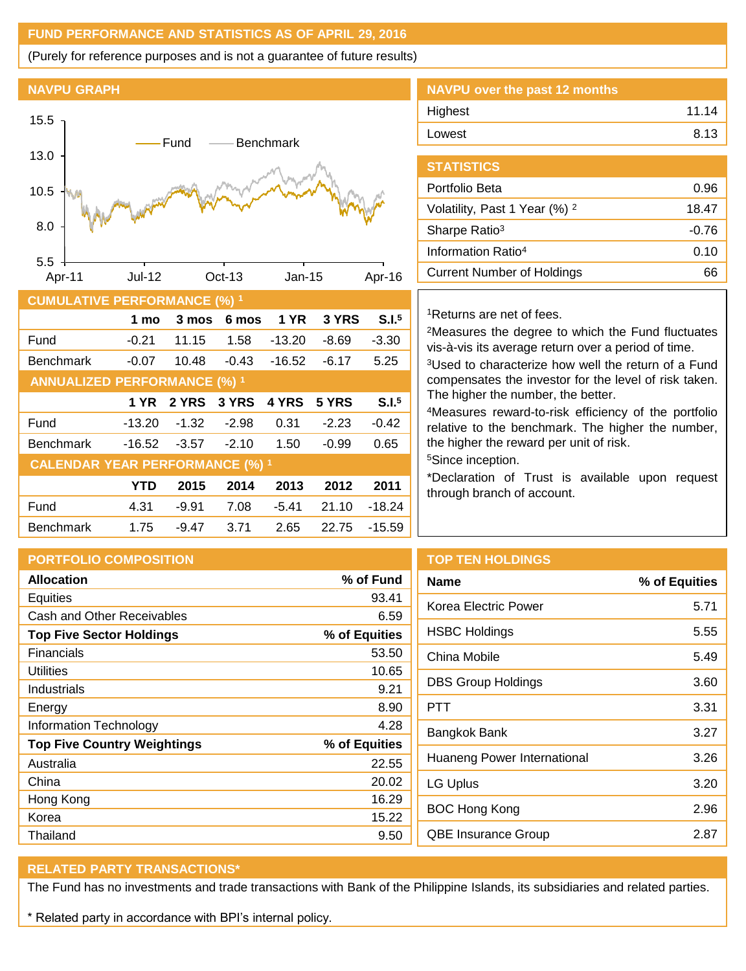# **FUND PERFORMANCE AND STATISTICS AS OF APRIL 29, 2016**

(Purely for reference purposes and is not a guarantee of future results)

**NAVPU GRAPH**



| <b>CUMULATIVE PERFORMANCE (%) 1</b>    |            |         |         |             |         |                   |
|----------------------------------------|------------|---------|---------|-------------|---------|-------------------|
|                                        | 1 mo       | 3 mos   | 6 mos   | <b>1 YR</b> | 3 YRS   | S.I. <sup>5</sup> |
| Fund                                   | $-0.21$    | 11.15   | 1.58    | $-13.20$    | $-8.69$ | $-3.30$           |
| <b>Benchmark</b>                       | $-0.07$    | 10.48   | $-0.43$ | $-16.52$    | $-6.17$ | 5.25              |
| <b>ANNUALIZED PERFORMANCE (%) 1</b>    |            |         |         |             |         |                   |
|                                        | 1 YR       | 2 YRS   | 3 YRS   | 4 YRS       | 5 YRS   | S.I. <sup>5</sup> |
| Fund                                   | $-13.20$   | $-1.32$ | $-2.98$ | 0.31        | $-2.23$ | $-0.42$           |
| <b>Benchmark</b>                       | $-16.52$   | $-3.57$ | $-2.10$ | 1.50        | $-0.99$ | 0.65              |
| <b>CALENDAR YEAR PERFORMANCE (%) 1</b> |            |         |         |             |         |                   |
|                                        | <b>YTD</b> | 2015    | 2014    | 2013        | 2012    | 2011              |
| Fund                                   | 4.31       | $-9.91$ | 7.08    | $-5.41$     | 21.10   | $-18.24$          |
| <b>Benchmark</b>                       | 1.75       | -9.47   | 3.71    | 2.65        | 22.75   | $-15.59$          |

| NAVPU over the past 12 months |       |
|-------------------------------|-------|
| Highest                       | 11.14 |
| Lowest                        | 8.13  |
|                               |       |

| <b>STATISTICS</b>                        |         |
|------------------------------------------|---------|
| Portfolio Beta                           | 0.96    |
| Volatility, Past 1 Year (%) <sup>2</sup> | 18.47   |
| Sharpe Ratio <sup>3</sup>                | $-0.76$ |
| Information Ratio <sup>4</sup>           | 0.10    |
| Current Number of Holdings               |         |

### <sup>1</sup>Returns are net of fees.

<sup>2</sup>Measures the degree to which the Fund fluctuates vis-à-vis its average return over a period of time.

<sup>3</sup>Used to characterize how well the return of a Fund compensates the investor for the level of risk taken. The higher the number, the better.

<sup>4</sup>Measures reward-to-risk efficiency of the portfolio relative to the benchmark. The higher the number, the higher the reward per unit of risk.

<sup>5</sup>Since inception.

\*Declaration of Trust is available upon request through branch of account.

|               | <b>TOP</b> |
|---------------|------------|
| % of Fund     | Nam        |
| 93.41         | Kore       |
| 6.59          |            |
| % of Equities | <b>HSB</b> |
| 53.50         | Chin       |
| 10.65         |            |
| 9.21          | <b>DBS</b> |
| 8.90          | PTT        |
| 4.28          | Bang       |
| % of Equities |            |
| 22.55         | Huai       |
| 20.02         | LG l       |
| 16.29         |            |
| 15.22         | <b>BOC</b> |
| 9.50          | QBE        |
|               |            |

# **TEN HOLDINGS**

| <b>Name</b>                 | % of Equities |
|-----------------------------|---------------|
| Korea Electric Power        | 5.71          |
| <b>HSBC Holdings</b>        | 5.55          |
| China Mobile                | 5.49          |
| <b>DBS Group Holdings</b>   | 3.60          |
| PTT                         | 3.31          |
| Bangkok Bank                | 3.27          |
| Huaneng Power International | 3.26          |
| LG Uplus                    | 3.20          |
| <b>BOC Hong Kong</b>        | 2.96          |
| <b>QBE Insurance Group</b>  | 2.87          |
|                             |               |

# **RELATED PARTY TRANSACTIONS\***

The Fund has no investments and trade transactions with Bank of the Philippine Islands, its subsidiaries and related parties.

\* Related party in accordance with BPI's internal policy.